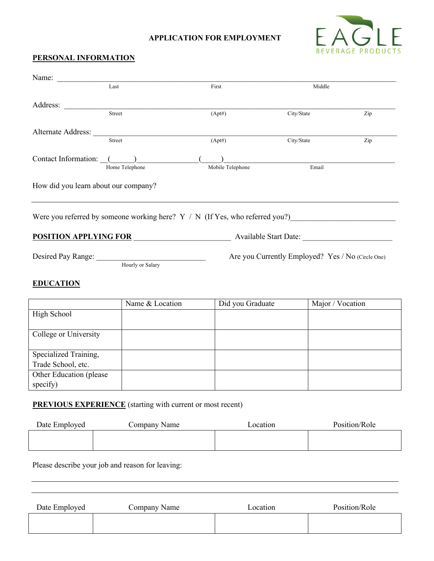## **APPLICATION FOR EMPLOYMENT**



## **PERSONAL INFORMATION**

| Name:                                |                                                                                                                |                                                    |            |                                                   |  |
|--------------------------------------|----------------------------------------------------------------------------------------------------------------|----------------------------------------------------|------------|---------------------------------------------------|--|
|                                      | Last                                                                                                           | First                                              | Middle     |                                                   |  |
|                                      |                                                                                                                |                                                    |            |                                                   |  |
| Address:                             | Street                                                                                                         | (Apt#)                                             | City/State | Zip                                               |  |
|                                      |                                                                                                                |                                                    |            |                                                   |  |
| Alternate Address:                   | Street                                                                                                         | (Apt#)                                             | City/State | Zip                                               |  |
|                                      |                                                                                                                |                                                    |            |                                                   |  |
| Contact Information: ()              |                                                                                                                |                                                    |            |                                                   |  |
|                                      | Home Telephone                                                                                                 | Mobile Telephone                                   | Email      |                                                   |  |
| How did you learn about our company? |                                                                                                                |                                                    |            |                                                   |  |
|                                      |                                                                                                                |                                                    |            |                                                   |  |
|                                      |                                                                                                                |                                                    |            |                                                   |  |
|                                      | Were you referred by someone working here? Y / N (If Yes, who referred you?)__________________________________ |                                                    |            |                                                   |  |
|                                      |                                                                                                                |                                                    |            |                                                   |  |
|                                      |                                                                                                                | <b>POSITION APPLYING FOR</b> Available Start Date: |            |                                                   |  |
|                                      |                                                                                                                |                                                    |            | Are you Currently Employed? Yes / No (Circle One) |  |
|                                      | Desired Pay Range: Hourly or Salary                                                                            |                                                    |            |                                                   |  |
|                                      |                                                                                                                |                                                    |            |                                                   |  |
| <b>EDUCATION</b>                     |                                                                                                                |                                                    |            |                                                   |  |
|                                      | Name & Location                                                                                                | Did you Graduate                                   |            | Major / Vocation                                  |  |
| High School                          |                                                                                                                |                                                    |            |                                                   |  |
|                                      |                                                                                                                |                                                    |            |                                                   |  |
| College or University                |                                                                                                                |                                                    |            |                                                   |  |
|                                      |                                                                                                                |                                                    |            |                                                   |  |
| Specialized Training,                |                                                                                                                |                                                    |            |                                                   |  |
| Trade School, etc.                   |                                                                                                                |                                                    |            |                                                   |  |
| Other Education (please              |                                                                                                                |                                                    |            |                                                   |  |
| specify)                             |                                                                                                                |                                                    |            |                                                   |  |

## **PREVIOUS EXPERIENCE** (starting with current or most recent)

| Date Employed | Company Name | Location | Position/Role |
|---------------|--------------|----------|---------------|
|               |              |          |               |

Please describe your job and reason for leaving:

| Date Employed | Company Name | Location | Position/Role |
|---------------|--------------|----------|---------------|
|               |              |          |               |